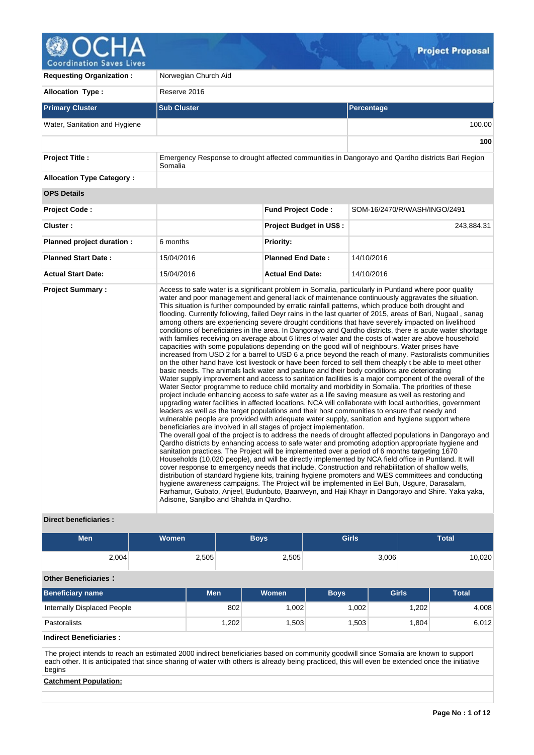

**Coordination Saves Lives** 

| <b>Requesting Organization:</b>  | Norwegian Church Aid                                                                                                                                                                                          |                                |                                                                                                                                                                                                                                                                                                                                                                                                                                                                                                                                                                                                                                                                                                                                                                                                                                                                                                                                                                                                                                                                                                                                                                                                                                                                                                                                                                                                                                                                                                                                                                                                                                                                                                                                                                                                                                                                                                                                                                                                                                                                                                                                                                                                                                                                                                                                                                                                                                                                                                                                                             |  |  |  |  |  |
|----------------------------------|---------------------------------------------------------------------------------------------------------------------------------------------------------------------------------------------------------------|--------------------------------|-------------------------------------------------------------------------------------------------------------------------------------------------------------------------------------------------------------------------------------------------------------------------------------------------------------------------------------------------------------------------------------------------------------------------------------------------------------------------------------------------------------------------------------------------------------------------------------------------------------------------------------------------------------------------------------------------------------------------------------------------------------------------------------------------------------------------------------------------------------------------------------------------------------------------------------------------------------------------------------------------------------------------------------------------------------------------------------------------------------------------------------------------------------------------------------------------------------------------------------------------------------------------------------------------------------------------------------------------------------------------------------------------------------------------------------------------------------------------------------------------------------------------------------------------------------------------------------------------------------------------------------------------------------------------------------------------------------------------------------------------------------------------------------------------------------------------------------------------------------------------------------------------------------------------------------------------------------------------------------------------------------------------------------------------------------------------------------------------------------------------------------------------------------------------------------------------------------------------------------------------------------------------------------------------------------------------------------------------------------------------------------------------------------------------------------------------------------------------------------------------------------------------------------------------------------|--|--|--|--|--|
| <b>Allocation Type:</b>          | Reserve 2016                                                                                                                                                                                                  |                                |                                                                                                                                                                                                                                                                                                                                                                                                                                                                                                                                                                                                                                                                                                                                                                                                                                                                                                                                                                                                                                                                                                                                                                                                                                                                                                                                                                                                                                                                                                                                                                                                                                                                                                                                                                                                                                                                                                                                                                                                                                                                                                                                                                                                                                                                                                                                                                                                                                                                                                                                                             |  |  |  |  |  |
| <b>Primary Cluster</b>           | <b>Sub Cluster</b>                                                                                                                                                                                            |                                | Percentage                                                                                                                                                                                                                                                                                                                                                                                                                                                                                                                                                                                                                                                                                                                                                                                                                                                                                                                                                                                                                                                                                                                                                                                                                                                                                                                                                                                                                                                                                                                                                                                                                                                                                                                                                                                                                                                                                                                                                                                                                                                                                                                                                                                                                                                                                                                                                                                                                                                                                                                                                  |  |  |  |  |  |
| Water, Sanitation and Hygiene    |                                                                                                                                                                                                               |                                | 100.00                                                                                                                                                                                                                                                                                                                                                                                                                                                                                                                                                                                                                                                                                                                                                                                                                                                                                                                                                                                                                                                                                                                                                                                                                                                                                                                                                                                                                                                                                                                                                                                                                                                                                                                                                                                                                                                                                                                                                                                                                                                                                                                                                                                                                                                                                                                                                                                                                                                                                                                                                      |  |  |  |  |  |
|                                  |                                                                                                                                                                                                               |                                | 100                                                                                                                                                                                                                                                                                                                                                                                                                                                                                                                                                                                                                                                                                                                                                                                                                                                                                                                                                                                                                                                                                                                                                                                                                                                                                                                                                                                                                                                                                                                                                                                                                                                                                                                                                                                                                                                                                                                                                                                                                                                                                                                                                                                                                                                                                                                                                                                                                                                                                                                                                         |  |  |  |  |  |
| <b>Project Title:</b>            | Somalia                                                                                                                                                                                                       |                                | Emergency Response to drought affected communities in Dangorayo and Qardho districts Bari Region                                                                                                                                                                                                                                                                                                                                                                                                                                                                                                                                                                                                                                                                                                                                                                                                                                                                                                                                                                                                                                                                                                                                                                                                                                                                                                                                                                                                                                                                                                                                                                                                                                                                                                                                                                                                                                                                                                                                                                                                                                                                                                                                                                                                                                                                                                                                                                                                                                                            |  |  |  |  |  |
| <b>Allocation Type Category:</b> |                                                                                                                                                                                                               |                                |                                                                                                                                                                                                                                                                                                                                                                                                                                                                                                                                                                                                                                                                                                                                                                                                                                                                                                                                                                                                                                                                                                                                                                                                                                                                                                                                                                                                                                                                                                                                                                                                                                                                                                                                                                                                                                                                                                                                                                                                                                                                                                                                                                                                                                                                                                                                                                                                                                                                                                                                                             |  |  |  |  |  |
| <b>OPS Details</b>               |                                                                                                                                                                                                               |                                |                                                                                                                                                                                                                                                                                                                                                                                                                                                                                                                                                                                                                                                                                                                                                                                                                                                                                                                                                                                                                                                                                                                                                                                                                                                                                                                                                                                                                                                                                                                                                                                                                                                                                                                                                                                                                                                                                                                                                                                                                                                                                                                                                                                                                                                                                                                                                                                                                                                                                                                                                             |  |  |  |  |  |
| <b>Project Code:</b>             |                                                                                                                                                                                                               | <b>Fund Project Code:</b>      | SOM-16/2470/R/WASH/INGO/2491                                                                                                                                                                                                                                                                                                                                                                                                                                                                                                                                                                                                                                                                                                                                                                                                                                                                                                                                                                                                                                                                                                                                                                                                                                                                                                                                                                                                                                                                                                                                                                                                                                                                                                                                                                                                                                                                                                                                                                                                                                                                                                                                                                                                                                                                                                                                                                                                                                                                                                                                |  |  |  |  |  |
| Cluster:                         |                                                                                                                                                                                                               | <b>Project Budget in US\$:</b> | 243,884.31                                                                                                                                                                                                                                                                                                                                                                                                                                                                                                                                                                                                                                                                                                                                                                                                                                                                                                                                                                                                                                                                                                                                                                                                                                                                                                                                                                                                                                                                                                                                                                                                                                                                                                                                                                                                                                                                                                                                                                                                                                                                                                                                                                                                                                                                                                                                                                                                                                                                                                                                                  |  |  |  |  |  |
| Planned project duration :       | 6 months                                                                                                                                                                                                      | <b>Priority:</b>               |                                                                                                                                                                                                                                                                                                                                                                                                                                                                                                                                                                                                                                                                                                                                                                                                                                                                                                                                                                                                                                                                                                                                                                                                                                                                                                                                                                                                                                                                                                                                                                                                                                                                                                                                                                                                                                                                                                                                                                                                                                                                                                                                                                                                                                                                                                                                                                                                                                                                                                                                                             |  |  |  |  |  |
| <b>Planned Start Date:</b>       | 15/04/2016                                                                                                                                                                                                    | <b>Planned End Date:</b>       | 14/10/2016                                                                                                                                                                                                                                                                                                                                                                                                                                                                                                                                                                                                                                                                                                                                                                                                                                                                                                                                                                                                                                                                                                                                                                                                                                                                                                                                                                                                                                                                                                                                                                                                                                                                                                                                                                                                                                                                                                                                                                                                                                                                                                                                                                                                                                                                                                                                                                                                                                                                                                                                                  |  |  |  |  |  |
| <b>Actual Start Date:</b>        | 15/04/2016                                                                                                                                                                                                    | <b>Actual End Date:</b>        | 14/10/2016                                                                                                                                                                                                                                                                                                                                                                                                                                                                                                                                                                                                                                                                                                                                                                                                                                                                                                                                                                                                                                                                                                                                                                                                                                                                                                                                                                                                                                                                                                                                                                                                                                                                                                                                                                                                                                                                                                                                                                                                                                                                                                                                                                                                                                                                                                                                                                                                                                                                                                                                                  |  |  |  |  |  |
| <b>Project Summary:</b>          | basic needs. The animals lack water and pasture and their body conditions are deteriorating<br>beneficiaries are involved in all stages of project implementation.<br>Adisone, Sanjilbo and Shahda in Qardho. |                                | Access to safe water is a significant problem in Somalia, particularly in Puntland where poor quality<br>water and poor management and general lack of maintenance continuously aggravates the situation.<br>This situation is further compounded by erratic rainfall patterns, which produce both drought and<br>flooding. Currently following, failed Deyr rains in the last quarter of 2015, areas of Bari, Nugaal, sanag<br>among others are experiencing severe drought conditions that have severely impacted on livelihood<br>conditions of beneficiaries in the area. In Dangorayo and Qardho districts, there is acute water shortage<br>with families receiving on average about 6 litres of water and the costs of water are above household<br>capacities with some populations depending on the good will of neighbours. Water prises have<br>increased from USD 2 for a barrel to USD 6 a price beyond the reach of many. Pastoralists communities<br>on the other hand have lost livestock or have been forced to sell them cheaply t be able to meet other<br>Water supply improvement and access to sanitation facilities is a major component of the overall of the<br>Water Sector programme to reduce child mortality and morbidity in Somalia. The priorities of these<br>project include enhancing access to safe water as a life saving measure as well as restoring and<br>upgrading water facilities in affected locations. NCA will collaborate with local authorities, government<br>leaders as well as the target populations and their host communities to ensure that needy and<br>vulnerable people are provided with adequate water supply, sanitation and hygiene support where<br>The overall goal of the project is to address the needs of drought affected populations in Dangorayo and<br>Qardho districts by enhancing access to safe water and promoting adoption appropriate hygiene and<br>sanitation practices. The Project will be implemented over a period of 6 months targeting 1670<br>Households (10,020 people), and will be directly implemented by NCA field office in Puntland. It will<br>cover response to emergency needs that include, Construction and rehabilitation of shallow wells,<br>distribution of standard hygiene kits, training hygiene promoters and WES committees and conducting<br>hygiene awareness campaigns. The Project will be implemented in Eel Buh, Usgure, Darasalam,<br>Farhamur, Gubato, Anjeel, Budunbuto, Baarweyn, and Haji Khayr in Dangorayo and Shire. Yaka yaka, |  |  |  |  |  |

## **Direct beneficiaries :**

| <b>Men</b>                  | <b>Women</b> |       | <b>Boys</b>  | <b>Girls</b> |              | <b>Total</b> |  |
|-----------------------------|--------------|-------|--------------|--------------|--------------|--------------|--|
| 2,004                       | 2,505        |       | 2,505        |              | 3,006        | 10,020       |  |
| <b>Other Beneficiaries:</b> |              |       |              |              |              |              |  |
| <b>Beneficiary name</b>     | <b>Men</b>   |       | <b>Women</b> | <b>Boys</b>  | <b>Girls</b> | <b>Total</b> |  |
| Internally Displaced People |              | 802   | 1,002        | 1,002        | 1,202        | 4,008        |  |
| Pastoralists                |              | 1,202 | 1,503        | 1,503        | 1,804        | 6,012        |  |

**Indirect Beneficiaries :**

The project intends to reach an estimated 2000 indirect beneficiaries based on community goodwill since Somalia are known to support each other. It is anticipated that since sharing of water with others is already being practiced, this will even be extended once the initiative begins

# **Catchment Population:**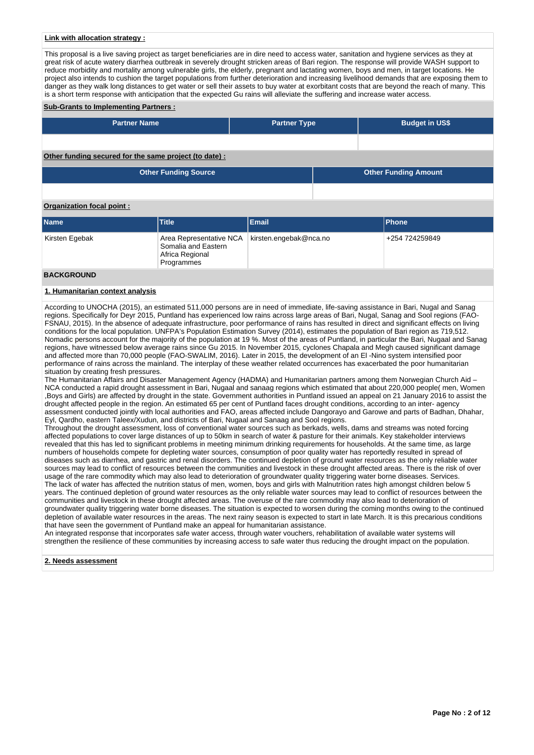## **Link with allocation strategy :**

This proposal is a live saving project as target beneficiaries are in dire need to access water, sanitation and hygiene services as they at great risk of acute watery diarrhea outbreak in severely drought stricken areas of Bari region. The response will provide WASH support to reduce morbidity and mortality among vulnerable girls, the elderly, pregnant and lactating women, boys and men, in target locations. He project also intends to cushion the target populations from further deterioration and increasing livelihood demands that are exposing them to danger as they walk long distances to get water or sell their assets to buy water at exorbitant costs that are beyond the reach of many. This is a short term response with anticipation that the expected Gu rains will alleviate the suffering and increase water access.

#### **Sub-Grants to Implementing Partners :**

| <b>Partner Name</b>                                   | <b>Partner Type</b> | <b>Budget in US\$</b>       |
|-------------------------------------------------------|---------------------|-----------------------------|
|                                                       |                     |                             |
| Other funding secured for the same project (to date): |                     |                             |
| <b>Other Funding Source</b>                           |                     | <b>Other Funding Amount</b> |

#### **Organization focal point :**

| <b>Name</b>       | <b>Title</b>                                                                    | Email                  | <b>IPhone</b>  |
|-------------------|---------------------------------------------------------------------------------|------------------------|----------------|
| Kirsten Egebak    | Area Representative NCA<br>Somalia and Eastern<br>Africa Regional<br>Programmes | kirsten.engebak@nca.no | +254 724259849 |
| <b>BACKGROUND</b> |                                                                                 |                        |                |

#### **1. Humanitarian context analysis**

According to UNOCHA (2015), an estimated 511,000 persons are in need of immediate, life-saving assistance in Bari, Nugal and Sanag regions. Specifically for Deyr 2015, Puntland has experienced low rains across large areas of Bari, Nugal, Sanag and Sool regions (FAO-FSNAU, 2015). In the absence of adequate infrastructure, poor performance of rains has resulted in direct and significant effects on living conditions for the local population. UNFPA's Population Estimation Survey (2014), estimates the population of Bari region as 719,512. Nomadic persons account for the majority of the population at 19 %. Most of the areas of Puntland, in particular the Bari, Nugaal and Sanag regions, have witnessed below average rains since Gu 2015. In November 2015, cyclones Chapala and Megh caused significant damage and affected more than 70,000 people (FAO-SWALIM, 2016). Later in 2015, the development of an El -Nino system intensified poor performance of rains across the mainland. The interplay of these weather related occurrences has exacerbated the poor humanitarian situation by creating fresh pressures.

The Humanitarian Affairs and Disaster Management Agency (HADMA) and Humanitarian partners among them Norwegian Church Aid – NCA conducted a rapid drought assessment in Bari, Nugaal and sanaag regions which estimated that about 220,000 people( men, Women ,Boys and Girls) are affected by drought in the state. Government authorities in Puntland issued an appeal on 21 January 2016 to assist the drought affected people in the region. An estimated 65 per cent of Puntland faces drought conditions, according to an inter- agency assessment conducted jointly with local authorities and FAO, areas affected include Dangorayo and Garowe and parts of Badhan, Dhahar, Eyl, Qardho, eastern Taleex/Xudun, and districts of Bari, Nugaal and Sanaag and Sool regions.

Throughout the drought assessment, loss of conventional water sources such as berkads, wells, dams and streams was noted forcing affected populations to cover large distances of up to 50km in search of water & pasture for their animals. Key stakeholder interviews revealed that this has led to significant problems in meeting minimum drinking requirements for households. At the same time, as large numbers of households compete for depleting water sources, consumption of poor quality water has reportedly resulted in spread of diseases such as diarrhea, and gastric and renal disorders. The continued depletion of ground water resources as the only reliable water sources may lead to conflict of resources between the communities and livestock in these drought affected areas. There is the risk of over usage of the rare commodity which may also lead to deterioration of groundwater quality triggering water borne diseases. Services. The lack of water has affected the nutrition status of men, women, boys and girls with Malnutrition rates high amongst children below 5 years. The continued depletion of ground water resources as the only reliable water sources may lead to conflict of resources between the communities and livestock in these drought affected areas. The overuse of the rare commodity may also lead to deterioration of groundwater quality triggering water borne diseases. The situation is expected to worsen during the coming months owing to the continued depletion of available water resources in the areas. The next rainy season is expected to start in late March. It is this precarious conditions that have seen the government of Puntland make an appeal for humanitarian assistance.

An integrated response that incorporates safe water access, through water vouchers, rehabilitation of available water systems will strengthen the resilience of these communities by increasing access to safe water thus reducing the drought impact on the population.

#### **2. Needs assessment**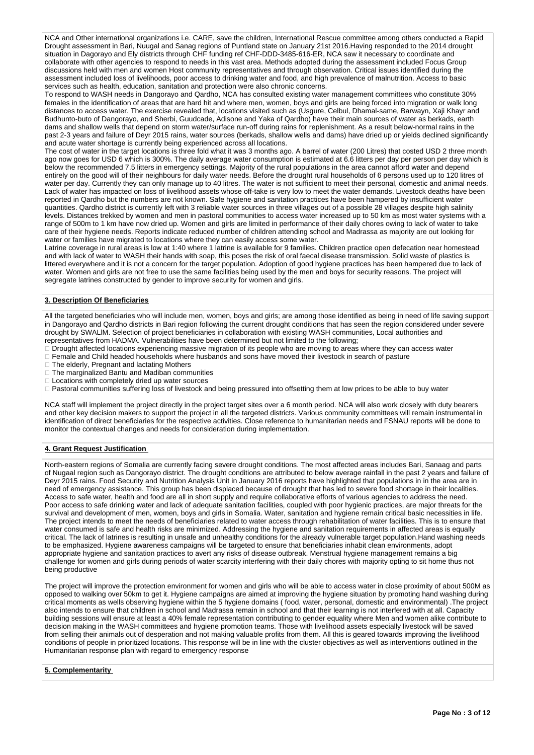NCA and Other international organizations i.e. CARE, save the children, International Rescue committee among others conducted a Rapid Drought assessment in Bari, Nuugal and Sanag regions of Puntland state on January 21st 2016.Having responded to the 2014 drought situation in Dagorayo and Ely districts through CHF funding ref CHF-DDD-3485-616-ER, NCA saw it necessary to coordinate and collaborate with other agencies to respond to needs in this vast area. Methods adopted during the assessment included Focus Group discussions held with men and women Host community representatives and through observation. Critical issues identified during the assessment included loss of livelihoods, poor access to drinking water and food, and high prevalence of malnutrition. Access to basic services such as health, education, sanitation and protection were also chronic concerns.

To respond to WASH needs in Dangorayo and Qardho, NCA has consulted existing water management committees who constitute 30% females in the identification of areas that are hard hit and where men, women, boys and girls are being forced into migration or walk long distances to access water. The exercise revealed that, locations visited such as (Usgure, Celbul, Dhamal-same, Barwayn, Xaji Khayr and Budhunto-buto of Dangorayo, and Sherbi, Guudcade, Adisone and Yaka of Qardho) have their main sources of water as berkads, earth dams and shallow wells that depend on storm water/surface run-off during rains for replenishment. As a result below-normal rains in the past 2-3 years and failure of Deyr 2015 rains, water sources (berkads, shallow wells and dams) have dried up or yields declined significantly and acute water shortage is currently being experienced across all locations.

The cost of water in the target locations is three fold what it was 3 months ago. A barrel of water (200 Litres) that costed USD 2 three month ago now goes for USD 6 which is 300%. The daily average water consumption is estimated at 6.6 litters per day per person per day which is below the recommended 7.5 litters in emergency settings. Majority of the rural populations in the area cannot afford water and depend entirely on the good will of their neighbours for daily water needs. Before the drought rural households of 6 persons used up to 120 litres of water per day. Currently they can only manage up to 40 litres. The water is not sufficient to meet their personal, domestic and animal needs. Lack of water has impacted on loss of livelihood assets whose off-take is very low to meet the water demands. Livestock deaths have been reported in Qardho but the numbers are not known. Safe hygiene and sanitation practices have been hampered by insufficient water quantities. Qardho district is currently left with 3 reliable water sources in three villages out of a possible 28 villages despite high salinity levels. Distances trekked by women and men in pastoral communities to access water increased up to 50 km as most water systems with a range of 500m to 1 km have now dried up. Women and girls are limited in performance of their daily chores owing to lack of water to take care of their hygiene needs. Reports indicate reduced number of children attending school and Madrassa as majority are out looking for water or families have migrated to locations where they can easily access some water.

Latrine coverage in rural areas is low at 1:40 where 1 latrine is available for 9 families. Children practice open defecation near homestead and with lack of water to WASH their hands with soap, this poses the risk of oral faecal disease transmission. Solid waste of plastics is littered everywhere and it is not a concern for the target population. Adoption of good hygiene practices has been hampered due to lack of water. Women and girls are not free to use the same facilities being used by the men and boys for security reasons. The project will segregate latrines constructed by gender to improve security for women and girls.

## **3. Description Of Beneficiaries**

All the targeted beneficiaries who will include men, women, boys and girls; are among those identified as being in need of life saving support in Dangorayo and Qardho districts in Bari region following the current drought conditions that has seen the region considered under severe drought by SWALlM. Selection of project beneficiaries in collaboration with existing WASH communities, Local authorities and representatives from HADMA. Vulnerabilities have been determined but not limited to the following;

- Drought affected locations experiencing massive migration of its people who are moving to areas where they can access water
- Female and Child headed households where husbands and sons have moved their livestock in search of pasture
- The elderly, Pregnant and lactating Mothers
- The marginalized Bantu and Madiban communities
- Locations with completely dried up water sources
- Pastoral communities suffering loss of livestock and being pressured into offsetting them at low prices to be able to buy water

NCA staff will implement the project directly in the project target sites over a 6 month period. NCA will also work closely with duty bearers and other key decision makers to support the project in all the targeted districts. Various community committees will remain instrumental in identification of direct beneficiaries for the respective activities. Close reference to humanitarian needs and FSNAU reports will be done to monitor the contextual changes and needs for consideration during implementation.

## **4. Grant Request Justification**

North-eastern regions of Somalia are currently facing severe drought conditions. The most affected areas includes Bari, Sanaag and parts of Nugaal region such as Dangorayo district. The drought conditions are attributed to below average rainfall in the past 2 years and failure of Deyr 2015 rains. Food Security and Nutrition Analysis Unit in January 2016 reports have highlighted that populations in in the area are in need of emergency assistance. This group has been displaced because of drought that has led to severe food shortage in their localities. Access to safe water, health and food are all in short supply and require collaborative efforts of various agencies to address the need. Poor access to safe drinking water and lack of adequate sanitation facilities, coupled with poor hygienic practices, are major threats for the survival and development of men, women, boys and girls in Somalia. Water, sanitation and hygiene remain critical basic necessities in life. The project intends to meet the needs of beneficiaries related to water access through rehabilitation of water facilities. This is to ensure that water consumed is safe and health risks are minimized. Addressing the hygiene and sanitation requirements in affected areas is equally critical. The lack of latrines is resulting in unsafe and unhealthy conditions for the already vulnerable target population.Hand washing needs to be emphasized. Hygiene awareness campaigns will be targeted to ensure that beneficiaries inhabit clean environments, adopt appropriate hygiene and sanitation practices to avert any risks of disease outbreak. Menstrual hygiene management remains a big challenge for women and girls during periods of water scarcity interfering with their daily chores with majority opting to sit home thus not being productive

The project will improve the protection environment for women and girls who will be able to access water in close proximity of about 500M as opposed to walking over 50km to get it. Hygiene campaigns are aimed at improving the hygiene situation by promoting hand washing during critical moments as wells observing hygiene within the 5 hygiene domains ( food, water, personal, domestic and environmental) .The project also intends to ensure that children in school and Madrassa remain in school and that their learning is not interfered with at all. Capacity building sessions will ensure at least a 40% female representation contributing to gender equality where Men and women alike contribute to decision making in the WASH committees and hygiene promotion teams. Those with livelihood assets especially livestock will be saved from selling their animals out of desperation and not making valuable profits from them. All this is geared towards improving the livelihood conditions of people in prioritized locations. This response will be in line with the cluster objectives as well as interventions outlined in the Humanitarian response plan with regard to emergency response

#### **5. Complementarity**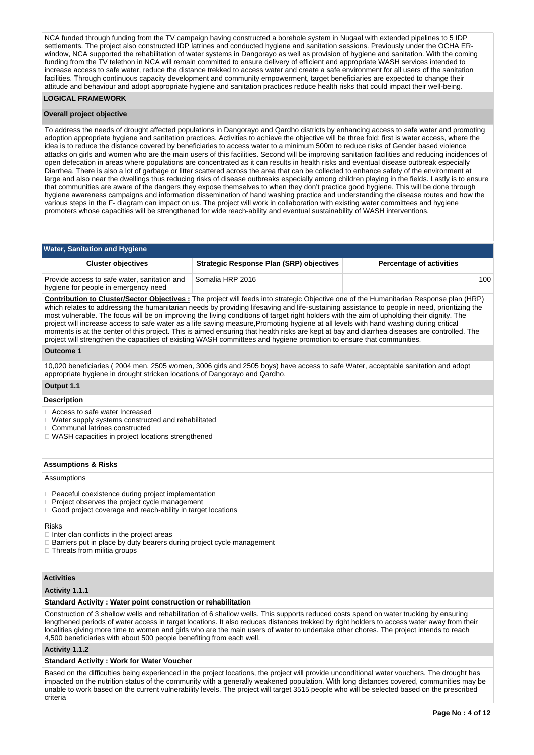NCA funded through funding from the TV campaign having constructed a borehole system in Nugaal with extended pipelines to 5 IDP settlements. The project also constructed IDP latrines and conducted hygiene and sanitation sessions. Previously under the OCHA ERwindow, NCA supported the rehabilitation of water systems in Dangorayo as well as provision of hygiene and sanitation. With the coming funding from the TV telethon in NCA will remain committed to ensure delivery of efficient and appropriate WASH services intended to increase access to safe water, reduce the distance trekked to access water and create a safe environment for all users of the sanitation facilities. Through continuous capacity development and community empowerment, target beneficiaries are expected to change their attitude and behaviour and adopt appropriate hygiene and sanitation practices reduce health risks that could impact their well-being.

## **LOGICAL FRAMEWORK**

#### **Overall project objective**

To address the needs of drought affected populations in Dangorayo and Qardho districts by enhancing access to safe water and promoting adoption appropriate hygiene and sanitation practices. Activities to achieve the objective will be three fold; first is water access, where the idea is to reduce the distance covered by beneficiaries to access water to a minimum 500m to reduce risks of Gender based violence attacks on girls and women who are the main users of this facilities. Second will be improving sanitation facilities and reducing incidences of open defecation in areas where populations are concentrated as it can results in health risks and eventual disease outbreak especially Diarrhea. There is also a lot of garbage or litter scattered across the area that can be collected to enhance safety of the environment at large and also near the dwellings thus reducing risks of disease outbreaks especially among children playing in the fields. Lastly is to ensure that communities are aware of the dangers they expose themselves to when they don't practice good hygiene. This will be done through hygiene awareness campaigns and information dissemination of hand washing practice and understanding the disease routes and how the various steps in the F- diagram can impact on us. The project will work in collaboration with existing water committees and hygiene promoters whose capacities will be strengthened for wide reach-ability and eventual sustainability of WASH interventions.

## **Water, Sanitation and Hygiene**

| <b>Cluster objectives</b>                                                            | Strategic Response Plan (SRP) objectives | <b>Percentage of activities</b> |
|--------------------------------------------------------------------------------------|------------------------------------------|---------------------------------|
| Provide access to safe water, sanitation and<br>hygiene for people in emergency need | Somalia HRP 2016                         | 100                             |

**Contribution to Cluster/Sector Objectives :** The project will feeds into strategic Objective one of the Humanitarian Response plan (HRP) which relates to addressing the humanitarian needs by providing lifesaving and life-sustaining assistance to people in need, prioritizing the most vulnerable. The focus will be on improving the living conditions of target right holders with the aim of upholding their dignity. The project will increase access to safe water as a life saving measure,Promoting hygiene at all levels with hand washing during critical moments is at the center of this project. This is aimed ensuring that health risks are kept at bay and diarrhea diseases are controlled. The project will strengthen the capacities of existing WASH committees and hygiene promotion to ensure that communities.

#### **Outcome 1**

10,020 beneficiaries ( 2004 men, 2505 women, 3006 girls and 2505 boys) have access to safe Water, acceptable sanitation and adopt appropriate hygiene in drought stricken locations of Dangorayo and Qardho.

## **Output 1.1**

## **Description**

Access to safe water Increased

- Water supply systems constructed and rehabilitated
- Communal latrines constructed
- WASH capacities in project locations strengthened

## **Assumptions & Risks**

#### Assumptions

- $\Box$  Peaceful coexistence during project implementation
- Project observes the project cycle management
- □ Good project coverage and reach-ability in target locations

## Risks

- $\Box$  Inter clan conflicts in the project areas
- Barriers put in place by duty bearers during project cycle management
- □ Threats from militia groups

# **Activities**

# **Activity 1.1.1**

# **Standard Activity : Water point construction or rehabilitation**

Construction of 3 shallow wells and rehabilitation of 6 shallow wells. This supports reduced costs spend on water trucking by ensuring lengthened periods of water access in target locations. It also reduces distances trekked by right holders to access water away from their localities giving more time to women and girls who are the main users of water to undertake other chores. The project intends to reach 4,500 beneficiaries with about 500 people benefiting from each well.

**Activity 1.1.2** 

# **Standard Activity : Work for Water Voucher**

Based on the difficulties being experienced in the project locations, the project will provide unconditional water vouchers. The drought has impacted on the nutrition status of the community with a generally weakened population. With long distances covered, communities may be unable to work based on the current vulnerability levels. The project will target 3515 people who will be selected based on the prescribed criteria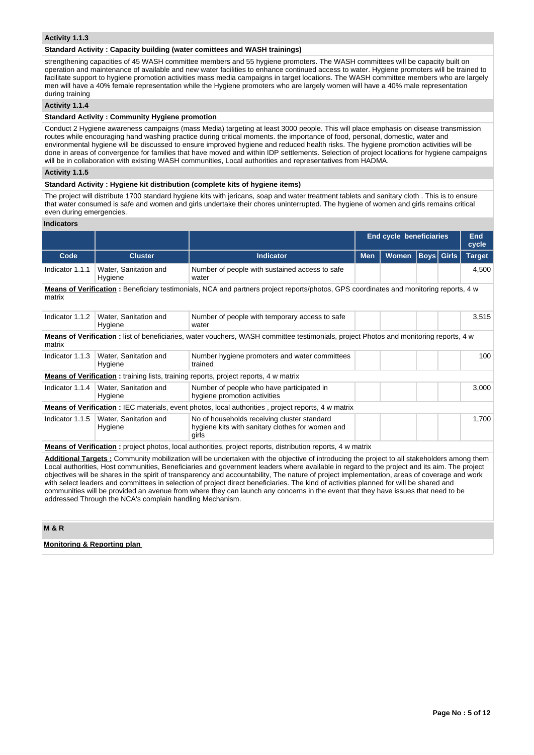### **Activity 1.1.3**

### **Standard Activity : Capacity building (water comittees and WASH trainings)**

strengthening capacities of 45 WASH committee members and 55 hygiene promoters. The WASH committees will be capacity built on operation and maintenance of available and new water facilities to enhance continued access to water. Hygiene promoters will be trained to facilitate support to hygiene promotion activities mass media campaigns in target locations. The WASH committee members who are largely men will have a 40% female representation while the Hygiene promoters who are largely women will have a 40% male representation during training

## **Activity 1.1.4**

#### **Standard Activity : Community Hygiene promotion**

Conduct 2 Hygiene awareness campaigns (mass Media) targeting at least 3000 people. This will place emphasis on disease transmission routes while encouraging hand washing practice during critical moments. the importance of food, personal, domestic, water and environmental hygiene will be discussed to ensure improved hygiene and reduced health risks. The hygiene promotion activities will be done in areas of convergence for families that have moved and within IDP settlements. Selection of project locations for hygiene campaigns will be in collaboration with existing WASH communities, Local authorities and representatives from HADMA.

# **Activity 1.1.5**

## **Standard Activity : Hygiene kit distribution (complete kits of hygiene items)**

The project will distribute 1700 standard hygiene kits with jericans, soap and water treatment tablets and sanitary cloth . This is to ensure that water consumed is safe and women and girls undertake their chores uninterrupted. The hygiene of women and girls remains critical even during emergencies.

## **Indicators**

|                                                                                                                                                 |                                                                                              |                                                                                                                                                                                                                                                                                                                                                                                                                                                                                                                                                                                                                                                                                                                          |            | <b>End cycle beneficiaries</b> |             |              | End<br>cycle  |
|-------------------------------------------------------------------------------------------------------------------------------------------------|----------------------------------------------------------------------------------------------|--------------------------------------------------------------------------------------------------------------------------------------------------------------------------------------------------------------------------------------------------------------------------------------------------------------------------------------------------------------------------------------------------------------------------------------------------------------------------------------------------------------------------------------------------------------------------------------------------------------------------------------------------------------------------------------------------------------------------|------------|--------------------------------|-------------|--------------|---------------|
| Code                                                                                                                                            | <b>Cluster</b>                                                                               | <b>Indicator</b>                                                                                                                                                                                                                                                                                                                                                                                                                                                                                                                                                                                                                                                                                                         | <b>Men</b> | <b>Women</b>                   | <b>Boys</b> | <b>Girls</b> | <b>Target</b> |
| Indicator 1.1.1                                                                                                                                 | Water, Sanitation and<br>Hygiene                                                             | Number of people with sustained access to safe<br>water                                                                                                                                                                                                                                                                                                                                                                                                                                                                                                                                                                                                                                                                  |            |                                |             |              | 4,500         |
| Means of Verification: Beneficiary testimonials, NCA and partners project reports/photos, GPS coordinates and monitoring reports, 4 w<br>matrix |                                                                                              |                                                                                                                                                                                                                                                                                                                                                                                                                                                                                                                                                                                                                                                                                                                          |            |                                |             |              |               |
|                                                                                                                                                 | Indicator 1.1.2   Water, Sanitation and<br>Hygiene                                           | Number of people with temporary access to safe<br>water                                                                                                                                                                                                                                                                                                                                                                                                                                                                                                                                                                                                                                                                  |            |                                |             |              | 3,515         |
| matrix                                                                                                                                          |                                                                                              | <b>Means of Verification</b> : list of beneficiaries, water vouchers, WASH committee testimonials, project Photos and monitoring reports, 4 w                                                                                                                                                                                                                                                                                                                                                                                                                                                                                                                                                                            |            |                                |             |              |               |
| Indicator 1.1.3                                                                                                                                 | Water, Sanitation and<br>Number hygiene promoters and water committees<br>Hygiene<br>trained |                                                                                                                                                                                                                                                                                                                                                                                                                                                                                                                                                                                                                                                                                                                          |            |                                |             |              | 100           |
|                                                                                                                                                 |                                                                                              | <b>Means of Verification:</b> training lists, training reports, project reports, 4 w matrix                                                                                                                                                                                                                                                                                                                                                                                                                                                                                                                                                                                                                              |            |                                |             |              |               |
|                                                                                                                                                 | Indicator 1.1.4   Water, Sanitation and<br>Hygiene                                           | Number of people who have participated in<br>hygiene promotion activities                                                                                                                                                                                                                                                                                                                                                                                                                                                                                                                                                                                                                                                |            |                                |             |              | 3,000         |
|                                                                                                                                                 |                                                                                              | <b>Means of Verification:</b> IEC materials, event photos, local authorities, project reports, 4 w matrix                                                                                                                                                                                                                                                                                                                                                                                                                                                                                                                                                                                                                |            |                                |             |              |               |
| Indicator 1.1.5                                                                                                                                 | Water, Sanitation and<br>Hygiene                                                             | No of households receiving cluster standard<br>hygiene kits with sanitary clothes for women and<br>girls                                                                                                                                                                                                                                                                                                                                                                                                                                                                                                                                                                                                                 |            |                                |             |              | 1,700         |
|                                                                                                                                                 |                                                                                              | Means of Verification: project photos, local authorities, project reports, distribution reports, 4 w matrix                                                                                                                                                                                                                                                                                                                                                                                                                                                                                                                                                                                                              |            |                                |             |              |               |
|                                                                                                                                                 | addressed Through the NCA's complain handling Mechanism.                                     | Additional Targets: Community mobilization will be undertaken with the objective of introducing the project to all stakeholders among them<br>Local authorities, Host communities, Beneficiaries and government leaders where available in regard to the project and its aim. The project<br>objectives will be shares in the spirit of transparency and accountability, The nature of project implementation, areas of coverage and work<br>with select leaders and committees in selection of project direct beneficiaries. The kind of activities planned for will be shared and<br>communities will be provided an avenue from where they can launch any concerns in the event that they have issues that need to be |            |                                |             |              |               |

### **M & R**

## **Monitoring & Reporting plan**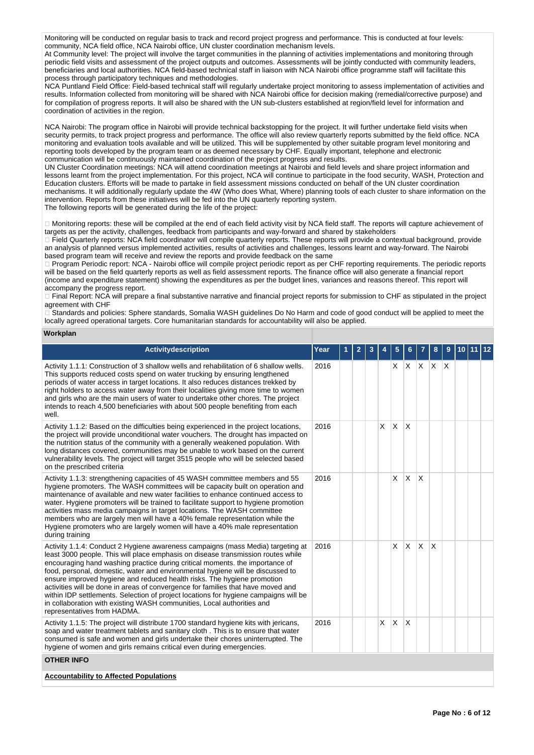Monitoring will be conducted on regular basis to track and record project progress and performance. This is conducted at four levels: community, NCA field office, NCA Nairobi office, UN cluster coordination mechanism levels.

At Community level: The project will involve the target communities in the planning of activities implementations and monitoring through periodic field visits and assessment of the project outputs and outcomes. Assessments will be jointly conducted with community leaders, beneficiaries and local authorities. NCA field-based technical staff in liaison with NCA Nairobi office programme staff will facilitate this process through participatory techniques and methodologies.

NCA Puntland Field Office: Field-based technical staff will regularly undertake project monitoring to assess implementation of activities and results. Information collected from monitoring will be shared with NCA Nairobi office for decision making (remedial/corrective purpose) and for compilation of progress reports. It will also be shared with the UN sub-clusters established at region/field level for information and coordination of activities in the region.

NCA Nairobi: The program office in Nairobi will provide technical backstopping for the project. It will further undertake field visits when security permits, to track project progress and performance. The office will also review quarterly reports submitted by the field office. NCA monitoring and evaluation tools available and will be utilized. This will be supplemented by other suitable program level monitoring and reporting tools developed by the program team or as deemed necessary by CHF. Equally important, telephone and electronic communication will be continuously maintained coordination of the project progress and results.

UN Cluster Coordination meetings: NCA will attend coordination meetings at Nairobi and field levels and share project information and lessons learnt from the project implementation. For this project, NCA will continue to participate in the food security, WASH, Protection and Education clusters. Efforts will be made to partake in field assessment missions conducted on behalf of the UN cluster coordination mechanisms. It will additionally regularly update the 4W (Who does What, Where) planning tools of each cluster to share information on the intervention. Reports from these initiatives will be fed into the UN quarterly reporting system. The following reports will be generated during the life of the project:

□ Monitoring reports: these will be compiled at the end of each field activity visit by NCA field staff. The reports will capture achievement of targets as per the activity, challenges, feedback from participants and way-forward and shared by stakeholders

Field Quarterly reports: NCA field coordinator will compile quarterly reports. These reports will provide a contextual background, provide an analysis of planned versus implemented activities, results of activities and challenges, lessons learnt and way-forward. The Nairobi based program team will receive and review the reports and provide feedback on the same

Program Periodic report: NCA - Nairobi office will compile project periodic report as per CHF reporting requirements. The periodic reports will be based on the field quarterly reports as well as field assessment reports. The finance office will also generate a financial report (income and expenditure statement) showing the expenditures as per the budget lines, variances and reasons thereof. This report will accompany the progress report.

Final Report: NCA will prepare a final substantive narrative and financial project reports for submission to CHF as stipulated in the project agreement with CHF

 $\supseteq$  Standards and policies: Sphere standards. Somalia WASH quidelines Do No Harm and code of good conduct will be applied to meet the locally agreed operational targets. Core humanitarian standards for accountability will also be applied.

## **Workplan**

| <b>Activitydescription</b>                                                                                                                                                                                                                                                                                                                                                                                                                                                                                                                                                                                                                                                                            | Year | $\overline{2}$ | 3 |              | 5            |                         |             | 8                       | 9 | 10 <sup>1</sup> | 11 12 |
|-------------------------------------------------------------------------------------------------------------------------------------------------------------------------------------------------------------------------------------------------------------------------------------------------------------------------------------------------------------------------------------------------------------------------------------------------------------------------------------------------------------------------------------------------------------------------------------------------------------------------------------------------------------------------------------------------------|------|----------------|---|--------------|--------------|-------------------------|-------------|-------------------------|---|-----------------|-------|
| Activity 1.1.1: Construction of 3 shallow wells and rehabilitation of 6 shallow wells.<br>This supports reduced costs spend on water trucking by ensuring lengthened<br>periods of water access in target locations. It also reduces distances trekked by<br>right holders to access water away from their localities giving more time to women<br>and girls who are the main users of water to undertake other chores. The project<br>intends to reach 4,500 beneficiaries with about 500 people benefiting from each<br>well.                                                                                                                                                                       | 2016 |                |   |              | X            | IX.                     | $X$ $X$ $X$ |                         |   |                 |       |
| Activity 1.1.2: Based on the difficulties being experienced in the project locations,<br>the project will provide unconditional water vouchers. The drought has impacted on<br>the nutrition status of the community with a generally weakened population. With<br>long distances covered, communities may be unable to work based on the current<br>vulnerability levels. The project will target 3515 people who will be selected based<br>on the prescribed criteria                                                                                                                                                                                                                               | 2016 |                |   | $\times$     | $\mathsf{X}$ | $\mathsf{X}$            |             |                         |   |                 |       |
| Activity 1.1.3: strengthening capacities of 45 WASH committee members and 55<br>hygiene promoters. The WASH committees will be capacity built on operation and<br>maintenance of available and new water facilities to enhance continued access to<br>water. Hygiene promoters will be trained to facilitate support to hygiene promotion<br>activities mass media campaigns in target locations. The WASH committee<br>members who are largely men will have a 40% female representation while the<br>Hygiene promoters who are largely women will have a 40% male representation<br>during training                                                                                                 | 2016 |                |   |              | X            | <b>X</b>                | X           |                         |   |                 |       |
| Activity 1.1.4: Conduct 2 Hygiene awareness campaigns (mass Media) targeting at<br>least 3000 people. This will place emphasis on disease transmission routes while<br>encouraging hand washing practice during critical moments. the importance of<br>food, personal, domestic, water and environmental hygiene will be discussed to<br>ensure improved hygiene and reduced health risks. The hygiene promotion<br>activities will be done in areas of convergence for families that have moved and<br>within IDP settlements. Selection of project locations for hygiene campaigns will be<br>in collaboration with existing WASH communities, Local authorities and<br>representatives from HADMA. | 2016 |                |   |              | X            | X.                      | <b>X</b>    | $\overline{\mathsf{x}}$ |   |                 |       |
| Activity 1.1.5: The project will distribute 1700 standard hygiene kits with jericans,<br>soap and water treatment tablets and sanitary cloth. This is to ensure that water<br>consumed is safe and women and girls undertake their chores uninterrupted. The<br>hygiene of women and girls remains critical even during emergencies.                                                                                                                                                                                                                                                                                                                                                                  | 2016 |                |   | $\mathsf{x}$ | X            | $\overline{\mathsf{x}}$ |             |                         |   |                 |       |
| <b>OTHER INFO</b>                                                                                                                                                                                                                                                                                                                                                                                                                                                                                                                                                                                                                                                                                     |      |                |   |              |              |                         |             |                         |   |                 |       |
| <b>Accountability to Affected Populations</b>                                                                                                                                                                                                                                                                                                                                                                                                                                                                                                                                                                                                                                                         |      |                |   |              |              |                         |             |                         |   |                 |       |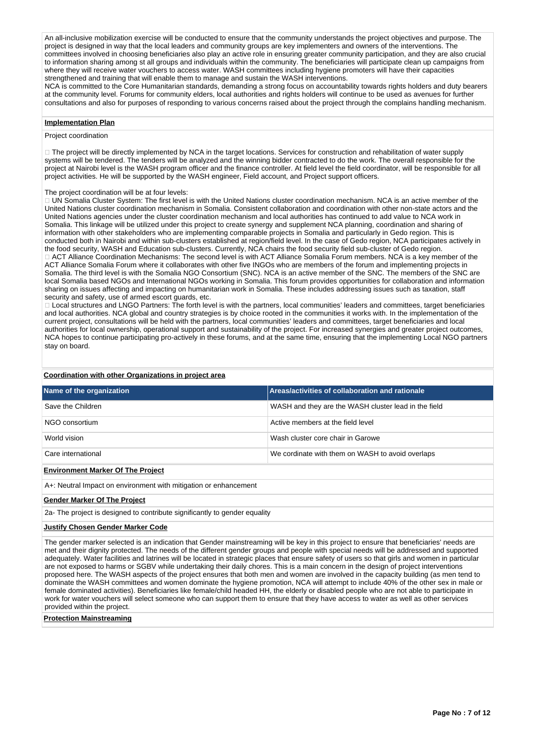An all-inclusive mobilization exercise will be conducted to ensure that the community understands the project objectives and purpose. The project is designed in way that the local leaders and community groups are key implementers and owners of the interventions. The committees involved in choosing beneficiaries also play an active role in ensuring greater community participation, and they are also crucial to information sharing among st all groups and individuals within the community. The beneficiaries will participate clean up campaigns from where they will receive water vouchers to access water. WASH committees including hygiene promoters will have their capacities strengthened and training that will enable them to manage and sustain the WASH interventions.

NCA is committed to the Core Humanitarian standards, demanding a strong focus on accountability towards rights holders and duty bearers at the community level. Forums for community elders, local authorities and rights holders will continue to be used as avenues for further consultations and also for purposes of responding to various concerns raised about the project through the complains handling mechanism.

#### **Implementation Plan**

## Project coordination

□ The project will be directly implemented by NCA in the target locations. Services for construction and rehabilitation of water supply systems will be tendered. The tenders will be analyzed and the winning bidder contracted to do the work. The overall responsible for the project at Nairobi level is the WASH program officer and the finance controller. At field level the field coordinator, will be responsible for all project activities. He will be supported by the WASH engineer, Field account, and Project support officers.

#### The project coordination will be at four levels:

□ UN Somalia Cluster System: The first level is with the United Nations cluster coordination mechanism. NCA is an active member of the United Nations cluster coordination mechanism in Somalia. Consistent collaboration and coordination with other non-state actors and the United Nations agencies under the cluster coordination mechanism and local authorities has continued to add value to NCA work in Somalia. This linkage will be utilized under this project to create synergy and supplement NCA planning, coordination and sharing of information with other stakeholders who are implementing comparable projects in Somalia and particularly in Gedo region. This is conducted both in Nairobi and within sub-clusters established at region/field level. In the case of Gedo region, NCA participates actively in the food security, WASH and Education sub-clusters. Currently, NCA chairs the food security field sub-cluster of Gedo region. ACT Alliance Coordination Mechanisms: The second level is with ACT Alliance Somalia Forum members. NCA is a key member of the ACT Alliance Somalia Forum where it collaborates with other five INGOs who are members of the forum and implementing projects in Somalia. The third level is with the Somalia NGO Consortium (SNC). NCA is an active member of the SNC. The members of the SNC are local Somalia based NGOs and International NGOs working in Somalia. This forum provides opportunities for collaboration and information sharing on issues affecting and impacting on humanitarian work in Somalia. These includes addressing issues such as taxation, staff security and safety, use of armed escort guards, etc.

□ Local structures and LNGO Partners: The forth level is with the partners, local communities' leaders and committees, target beneficiaries and local authorities. NCA global and country strategies is by choice rooted in the communities it works with. In the implementation of the current project, consultations will be held with the partners, local communities' leaders and committees, target beneficiaries and local authorities for local ownership, operational support and sustainability of the project. For increased synergies and greater project outcomes, NCA hopes to continue participating pro-actively in these forums, and at the same time, ensuring that the implementing Local NGO partners stay on board.

#### **Coordination with other Organizations in project area**

| Name of the organization                                         | Areas/activities of collaboration and rationale      |
|------------------------------------------------------------------|------------------------------------------------------|
| Save the Children                                                | WASH and they are the WASH cluster lead in the field |
| NGO consortium                                                   | Active members at the field level                    |
| World vision                                                     | Wash cluster core chair in Garowe                    |
| Care international                                               | We cordinate with them on WASH to avoid overlaps     |
| <b>Environment Marker Of The Project</b>                         |                                                      |
| A+: Neutral Impact on environment with mitigation or enhancement |                                                      |

#### **Gender Marker Of The Project**

2a- The project is designed to contribute significantly to gender equality

# **Justify Chosen Gender Marker Code**

The gender marker selected is an indication that Gender mainstreaming will be key in this project to ensure that beneficiaries' needs are met and their dignity protected. The needs of the different gender groups and people with special needs will be addressed and supported adequately. Water facilities and latrines will be located in strategic places that ensure safety of users so that girls and women in particular are not exposed to harms or SGBV while undertaking their daily chores. This is a main concern in the design of project interventions proposed here. The WASH aspects of the project ensures that both men and women are involved in the capacity building (as men tend to dominate the WASH committees and women dominate the hygiene promotion, NCA will attempt to include 40% of the other sex in male or female dominated activities). Beneficiaries like female/child headed HH, the elderly or disabled people who are not able to participate in work for water vouchers will select someone who can support them to ensure that they have access to water as well as other services provided within the project.

#### **Protection Mainstreaming**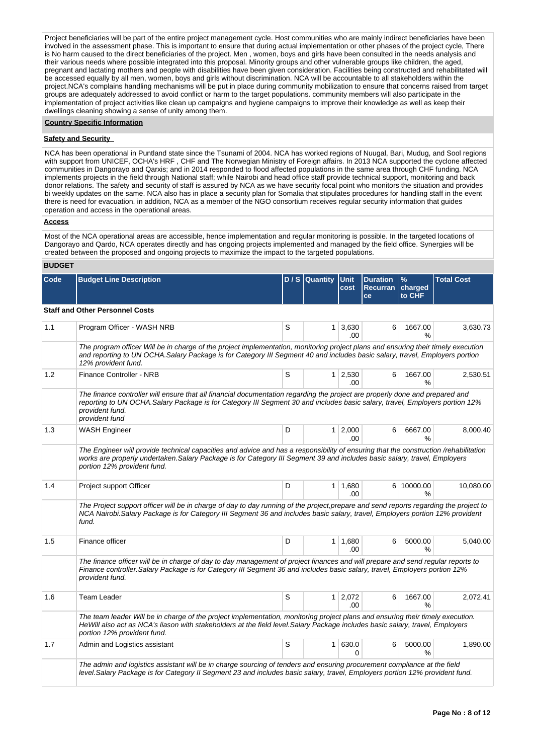Project beneficiaries will be part of the entire project management cycle. Host communities who are mainly indirect beneficiaries have been involved in the assessment phase. This is important to ensure that during actual implementation or other phases of the project cycle, There is No harm caused to the direct beneficiaries of the project. Men , women, boys and girls have been consulted in the needs analysis and their various needs where possible integrated into this proposal. Minority groups and other vulnerable groups like children, the aged, pregnant and lactating mothers and people with disabilities have been given consideration. Facilities being constructed and rehabilitated will be accessed equally by all men, women, boys and girls without discrimination. NCA will be accountable to all stakeholders within the project.NCA's complains handling mechanisms will be put in place during community mobilization to ensure that concerns raised from target groups are adequately addressed to avoid conflict or harm to the target populations. community members will also participate in the implementation of project activities like clean up campaigns and hygiene campaigns to improve their knowledge as well as keep their dwellings cleaning showing a sense of unity among them.

#### **Country Specific Information**

## **Safety and Security**

NCA has been operational in Puntland state since the Tsunami of 2004. NCA has worked regions of Nuugal, Bari, Mudug, and Sool regions with support from UNICEF, OCHA's HRF, CHF and The Norwegian Ministry of Foreign affairs. In 2013 NCA supported the cyclone affected communities in Dangorayo and Qarxis; and in 2014 responded to flood affected populations in the same area through CHF funding. NCA implements projects in the field through National staff; while Nairobi and head office staff provide technical support, monitoring and back donor relations. The safety and security of staff is assured by NCA as we have security focal point who monitors the situation and provides bi weekly updates on the same. NCA also has in place a security plan for Somalia that stipulates procedures for handling staff in the event there is need for evacuation. in addition, NCA as a member of the NGO consortium receives regular security information that guides operation and access in the operational areas.

## **Access**

Most of the NCA operational areas are accessible, hence implementation and regular monitoring is possible. In the targeted locations of Dangorayo and Qardo, NCA operates directly and has ongoing projects implemented and managed by the field office. Synergies will be created between the proposed and ongoing projects to maximize the impact to the targeted populations.

## **BUDGET**

| Code | <b>Budget Line Description</b>                                                                                                                                                                                                                                                                   |   | D / S   Quantity | <b>Unit</b><br>cost   | <b>Duration</b><br><b>Recurran</b><br>ce | $\%$<br>charged<br>to CHF | <b>Total Cost</b> |
|------|--------------------------------------------------------------------------------------------------------------------------------------------------------------------------------------------------------------------------------------------------------------------------------------------------|---|------------------|-----------------------|------------------------------------------|---------------------------|-------------------|
|      | <b>Staff and Other Personnel Costs</b>                                                                                                                                                                                                                                                           |   |                  |                       |                                          |                           |                   |
| 1.1  | Program Officer - WASH NRB                                                                                                                                                                                                                                                                       | S | $\mathbf{1}$     | 3,630<br>.00          | 6                                        | 1667.00<br>%              | 3,630.73          |
|      | The program officer Will be in charge of the project implementation, monitoring project plans and ensuring their timely execution<br>and reporting to UN OCHA.Salary Package is for Category III Segment 40 and includes basic salary, travel, Employers portion<br>12% provident fund.          |   |                  |                       |                                          |                           |                   |
| 1.2  | Finance Controller - NRB                                                                                                                                                                                                                                                                         | S | 1 <sup>1</sup>   | 2,530<br>.00          | 6                                        | 1667.00<br>%              | 2,530.51          |
|      | The finance controller will ensure that all financial documentation regarding the project are properly done and prepared and<br>reporting to UN OCHA.Salary Package is for Category III Segment 30 and includes basic salary, travel, Employers portion 12%<br>provident fund.<br>provident fund |   |                  |                       |                                          |                           |                   |
| 1.3  | <b>WASH Engineer</b>                                                                                                                                                                                                                                                                             | D | $\mathbf{1}$     | 2,000<br>.00.         | 6                                        | 6667.00<br>%              | 8,000.40          |
|      | The Engineer will provide technical capacities and advice and has a responsibility of ensuring that the construction /rehabilitation<br>works are properly undertaken. Salary Package is for Category III Segment 39 and includes basic salary, travel, Employers<br>portion 12% provident fund. |   |                  |                       |                                          |                           |                   |
| 1.4  | Project support Officer                                                                                                                                                                                                                                                                          | D | 1                | 1.680<br>.00          |                                          | 6 10000.00<br>%           | 10,080.00         |
|      | The Project support officer will be in charge of day to day running of the project, prepare and send reports regarding the project to<br>NCA Nairobi. Salary Package is for Category III Segment 36 and includes basic salary, travel, Employers portion 12% provident<br>fund.                  |   |                  |                       |                                          |                           |                   |
| 1.5  | Finance officer                                                                                                                                                                                                                                                                                  | D | 1                | 1.680<br>.00          | 6                                        | 5000.00<br>℅              | 5.040.00          |
|      | The finance officer will be in charge of day to day management of project finances and will prepare and send regular reports to<br>Finance controller. Salary Package is for Category III Segment 36 and includes basic salary, travel, Employers portion 12%<br>provident fund.                 |   |                  |                       |                                          |                           |                   |
| 1.6  | <b>Team Leader</b>                                                                                                                                                                                                                                                                               | S | 1 <sup>1</sup>   | 2,072<br>.00          | 6                                        | 1667.00<br>%              | 2,072.41          |
|      | The team leader Will be in charge of the project implementation, monitoring project plans and ensuring their timely execution.<br>HeWill also act as NCA's liason with stakeholders at the field level. Salary Package includes basic salary, travel, Employers<br>portion 12% provident fund.   |   |                  |                       |                                          |                           |                   |
| 1.7  | Admin and Logistics assistant                                                                                                                                                                                                                                                                    | S | 1                | 630.0<br><sup>0</sup> | 6                                        | 5000.00<br>℅              | 1,890.00          |
|      | The admin and logistics assistant will be in charge sourcing of tenders and ensuring procurement compliance at the field<br>level.Salary Package is for Category II Segment 23 and includes basic salary, travel, Employers portion 12% provident fund.                                          |   |                  |                       |                                          |                           |                   |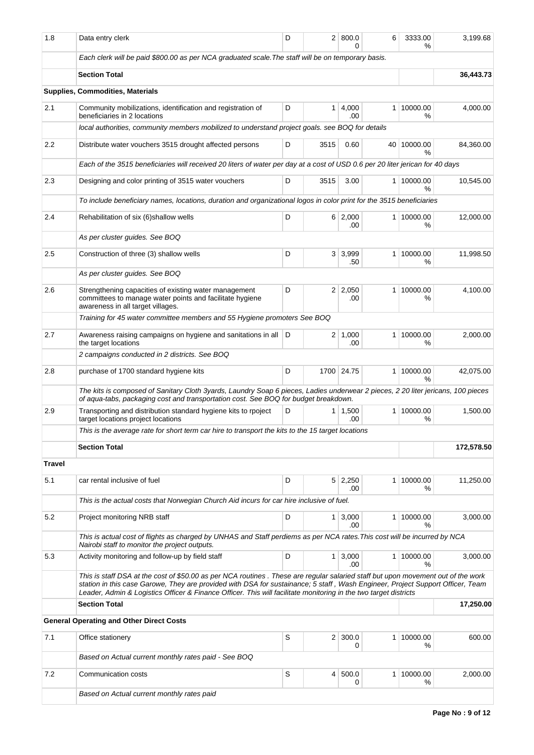| 1.8           | Data entry clerk                                                                                                                                                                                                                                                                                                                                                                       | D                |                | 2   800.0<br>U.       | 6              | 3333.00<br>%                | 3,199.68   |  |  |  |  |
|---------------|----------------------------------------------------------------------------------------------------------------------------------------------------------------------------------------------------------------------------------------------------------------------------------------------------------------------------------------------------------------------------------------|------------------|----------------|-----------------------|----------------|-----------------------------|------------|--|--|--|--|
|               | Each clerk will be paid \$800.00 as per NCA graduated scale. The staff will be on temporary basis.                                                                                                                                                                                                                                                                                     |                  |                |                       |                |                             |            |  |  |  |  |
|               | <b>Section Total</b>                                                                                                                                                                                                                                                                                                                                                                   |                  |                |                       |                |                             | 36,443.73  |  |  |  |  |
|               | <b>Supplies, Commodities, Materials</b>                                                                                                                                                                                                                                                                                                                                                |                  |                |                       |                |                             |            |  |  |  |  |
| 2.1           | Community mobilizations, identification and registration of<br>beneficiaries in 2 locations                                                                                                                                                                                                                                                                                            | D                | 1              | 4,000<br>.00          | 1 <sup>1</sup> | 10000.00<br>%               | 4,000.00   |  |  |  |  |
|               | local authorities, community members mobilized to understand project goals. see BOQ for details                                                                                                                                                                                                                                                                                        |                  |                |                       |                |                             |            |  |  |  |  |
| $2.2\,$       | Distribute water vouchers 3515 drought affected persons                                                                                                                                                                                                                                                                                                                                | 40 10000.00<br>% | 84,360.00      |                       |                |                             |            |  |  |  |  |
|               | Each of the 3515 beneficiaries will received 20 liters of water per day at a cost of USD 0.6 per 20 liter jerican for 40 days                                                                                                                                                                                                                                                          |                  |                |                       |                |                             |            |  |  |  |  |
| 2.3           | Designing and color printing of 3515 water vouchers                                                                                                                                                                                                                                                                                                                                    | D                | 3515           | 3.00                  |                | 1 10000.00<br>$\frac{9}{6}$ | 10,545.00  |  |  |  |  |
|               | To include beneficiary names, locations, duration and organizational logos in color print for the 3515 beneficiaries                                                                                                                                                                                                                                                                   |                  |                |                       |                |                             |            |  |  |  |  |
| 2.4           | Rehabilitation of six (6) shallow wells                                                                                                                                                                                                                                                                                                                                                | D                |                | 6 2,000<br>.00        |                | 1 10000.00<br>%             | 12,000.00  |  |  |  |  |
|               | As per cluster guides. See BOQ                                                                                                                                                                                                                                                                                                                                                         |                  |                |                       |                |                             |            |  |  |  |  |
| 2.5           | Construction of three (3) shallow wells                                                                                                                                                                                                                                                                                                                                                | D                | 3 <sup>1</sup> | 3,999<br>.50          | 1 <sup>1</sup> | 10000.00<br>%               | 11,998.50  |  |  |  |  |
|               | As per cluster quides. See BOQ                                                                                                                                                                                                                                                                                                                                                         |                  |                |                       |                |                             |            |  |  |  |  |
| 2.6           | Strengthening capacities of existing water management<br>committees to manage water points and facilitate hygiene<br>awareness in all target villages.                                                                                                                                                                                                                                 | D                |                | $2 \mid 2,050$<br>.00 | 1 <sup>1</sup> | 10000.00<br>%               | 4,100.00   |  |  |  |  |
|               | Training for 45 water committee members and 55 Hygiene promoters See BOQ                                                                                                                                                                                                                                                                                                               |                  |                |                       |                |                             |            |  |  |  |  |
| 2.7           | Awareness raising campaigns on hygiene and sanitations in all D<br>the target locations                                                                                                                                                                                                                                                                                                |                  | $\overline{2}$ | 1,000<br>.00          | 1 <sup>1</sup> | 10000.00<br>%               | 2,000.00   |  |  |  |  |
|               | 2 campaigns conducted in 2 districts. See BOQ                                                                                                                                                                                                                                                                                                                                          |                  |                |                       |                |                             |            |  |  |  |  |
| 2.8           | D<br>1700 24.75<br>1 <sup>1</sup><br>purchase of 1700 standard hygiene kits                                                                                                                                                                                                                                                                                                            |                  |                |                       |                |                             | 42,075.00  |  |  |  |  |
|               | The kits is composed of Sanitary Cloth 3yards, Laundry Soap 6 pieces, Ladies underwear 2 pieces, 2 20 liter jericans, 100 pieces<br>of aqua-tabs, packaging cost and transportation cost. See BOQ for budget breakdown.                                                                                                                                                                |                  |                |                       |                |                             |            |  |  |  |  |
| 2.9           | Transporting and distribution standard hygiene kits to rpoject<br>target locations project locations                                                                                                                                                                                                                                                                                   | D                |                | $1 \mid 1,500$<br>.00 |                | 1 10000.00<br>%             | 1,500.00   |  |  |  |  |
|               | This is the average rate for short term car hire to transport the kits to the 15 target locations                                                                                                                                                                                                                                                                                      |                  |                |                       |                |                             |            |  |  |  |  |
|               | <b>Section Total</b>                                                                                                                                                                                                                                                                                                                                                                   |                  |                |                       |                |                             | 172,578.50 |  |  |  |  |
| <b>Travel</b> |                                                                                                                                                                                                                                                                                                                                                                                        |                  |                |                       |                |                             |            |  |  |  |  |
| 5.1           | car rental inclusive of fuel                                                                                                                                                                                                                                                                                                                                                           | D                |                | $5 \mid 2,250$<br>.00 | 1 <sup>1</sup> | 10000.00<br>%               | 11,250.00  |  |  |  |  |
|               | This is the actual costs that Norwegian Church Aid incurs for car hire inclusive of fuel.                                                                                                                                                                                                                                                                                              |                  |                |                       |                |                             |            |  |  |  |  |
| 5.2           | Project monitoring NRB staff                                                                                                                                                                                                                                                                                                                                                           | D                | 1 <sup>1</sup> | 3,000<br>.00          | 1 <sup>1</sup> | 10000.00<br>℅               | 3,000.00   |  |  |  |  |
|               | This is actual cost of flights as charged by UNHAS and Staff perdiems as per NCA rates. This cost will be incurred by NCA<br>Nairobi staff to monitor the project outputs.                                                                                                                                                                                                             |                  |                |                       |                |                             |            |  |  |  |  |
| 5.3           | Activity monitoring and follow-up by field staff                                                                                                                                                                                                                                                                                                                                       | D                | 1 <sup>1</sup> | 3,000<br>.00          |                | 1 10000.00<br>%             | 3,000.00   |  |  |  |  |
|               | This is staff DSA at the cost of \$50.00 as per NCA routines. These are regular salaried staff but upon movement out of the work<br>station in this case Garowe, They are provided with DSA for sustainance; 5 staff, Wash Engineer, Project Support Officer, Team<br>Leader, Admin & Logistics Officer & Finance Officer. This will facilitate monitoring in the two target districts |                  |                |                       |                |                             |            |  |  |  |  |
|               | <b>Section Total</b>                                                                                                                                                                                                                                                                                                                                                                   |                  |                |                       |                |                             | 17,250.00  |  |  |  |  |
|               | <b>General Operating and Other Direct Costs</b>                                                                                                                                                                                                                                                                                                                                        |                  |                |                       |                |                             |            |  |  |  |  |
| 7.1           | Office stationery                                                                                                                                                                                                                                                                                                                                                                      | S                | 2 <sup>1</sup> | 300.0<br>0            |                | 1 10000.00<br>℅             | 600.00     |  |  |  |  |
|               | Based on Actual current monthly rates paid - See BOQ                                                                                                                                                                                                                                                                                                                                   |                  |                |                       |                |                             |            |  |  |  |  |
| 7.2           | Communication costs                                                                                                                                                                                                                                                                                                                                                                    | S                | 4              | 500.0<br>0            | $\mathbf{1}$   | 10000.00<br>%               | 2,000.00   |  |  |  |  |
|               | Based on Actual current monthly rates paid                                                                                                                                                                                                                                                                                                                                             |                  |                |                       |                |                             |            |  |  |  |  |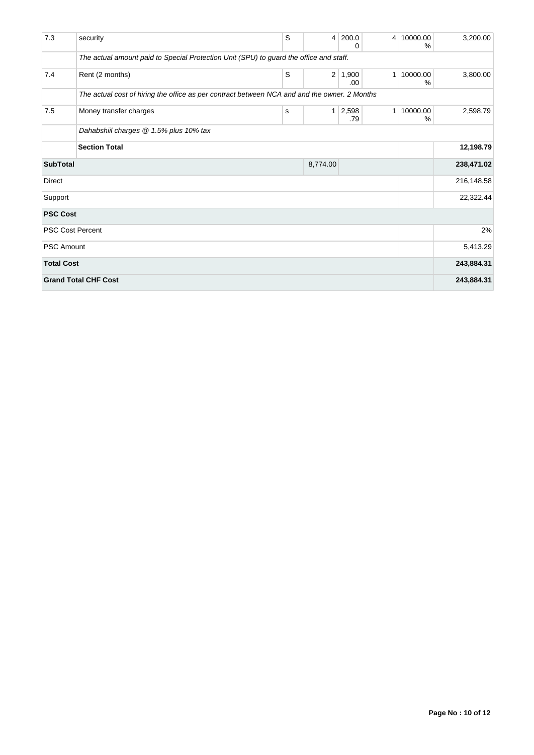| 7.3                         | security                                                                                     | S | 4              | 200.0<br>0   | 4 <sup>1</sup> | 10000.00<br>%    | 3,200.00   |
|-----------------------------|----------------------------------------------------------------------------------------------|---|----------------|--------------|----------------|------------------|------------|
|                             | The actual amount paid to Special Protection Unit (SPU) to guard the office and staff.       |   |                |              |                |                  |            |
| 7.4                         | Rent (2 months)                                                                              | S | 2 <sup>1</sup> | 1,900<br>.00 | $\mathbf 1$    | 10000.00<br>$\%$ | 3,800.00   |
|                             | The actual cost of hiring the office as per contract between NCA and and the owner. 2 Months |   |                |              |                |                  |            |
| 7.5                         | Money transfer charges                                                                       | s | $\mathbf{1}$   | 2,598<br>.79 | $\mathbf{1}$   | 10000.00<br>%    | 2,598.79   |
|                             | Dahabshiil charges @ 1.5% plus 10% tax                                                       |   |                |              |                |                  |            |
|                             | <b>Section Total</b>                                                                         |   |                |              |                |                  | 12,198.79  |
| <b>SubTotal</b>             |                                                                                              |   | 8,774.00       |              |                |                  | 238,471.02 |
| <b>Direct</b>               |                                                                                              |   |                |              |                |                  | 216,148.58 |
| Support                     |                                                                                              |   |                |              |                |                  | 22,322.44  |
| <b>PSC Cost</b>             |                                                                                              |   |                |              |                |                  |            |
| <b>PSC Cost Percent</b>     |                                                                                              |   |                |              |                |                  | 2%         |
| <b>PSC Amount</b>           |                                                                                              |   |                |              |                |                  | 5,413.29   |
| <b>Total Cost</b>           |                                                                                              |   |                |              |                |                  | 243,884.31 |
| <b>Grand Total CHF Cost</b> |                                                                                              |   |                |              |                |                  | 243,884.31 |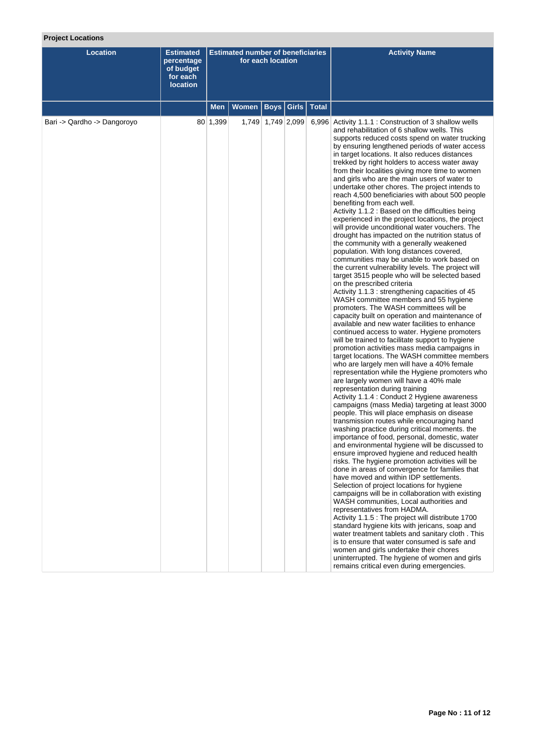# **Project Locations**

| <b>Location</b>             | <b>Estimated</b><br>percentage<br>of budget<br>for each<br><b>location</b> | <b>Estimated number of beneficiaries</b><br>for each location |       |                   |              |              | <b>Activity Name</b>                                                                                                                                                                                                                                                                                                                                                                                                                                                                                                                                                                                                                                                                                                                                                                                                                                                                                                                                                                                                                                                                                                                                                                                                                                                                                                                                                                                                                                                                                                                                                                                                                                                                                                                                                                                                                                                                                                                                                                                                                                                                                                                                                                                                                                                                                                                                                                                                                                                                                                                                                                                                                                                                                                                              |
|-----------------------------|----------------------------------------------------------------------------|---------------------------------------------------------------|-------|-------------------|--------------|--------------|---------------------------------------------------------------------------------------------------------------------------------------------------------------------------------------------------------------------------------------------------------------------------------------------------------------------------------------------------------------------------------------------------------------------------------------------------------------------------------------------------------------------------------------------------------------------------------------------------------------------------------------------------------------------------------------------------------------------------------------------------------------------------------------------------------------------------------------------------------------------------------------------------------------------------------------------------------------------------------------------------------------------------------------------------------------------------------------------------------------------------------------------------------------------------------------------------------------------------------------------------------------------------------------------------------------------------------------------------------------------------------------------------------------------------------------------------------------------------------------------------------------------------------------------------------------------------------------------------------------------------------------------------------------------------------------------------------------------------------------------------------------------------------------------------------------------------------------------------------------------------------------------------------------------------------------------------------------------------------------------------------------------------------------------------------------------------------------------------------------------------------------------------------------------------------------------------------------------------------------------------------------------------------------------------------------------------------------------------------------------------------------------------------------------------------------------------------------------------------------------------------------------------------------------------------------------------------------------------------------------------------------------------------------------------------------------------------------------------------------------------|
|                             |                                                                            | <b>Men</b>                                                    | Women |                   | Boys   Girls | <b>Total</b> |                                                                                                                                                                                                                                                                                                                                                                                                                                                                                                                                                                                                                                                                                                                                                                                                                                                                                                                                                                                                                                                                                                                                                                                                                                                                                                                                                                                                                                                                                                                                                                                                                                                                                                                                                                                                                                                                                                                                                                                                                                                                                                                                                                                                                                                                                                                                                                                                                                                                                                                                                                                                                                                                                                                                                   |
| Bari -> Qardho -> Dangoroyo |                                                                            | 80 1,399                                                      |       | 1,749 1,749 2,099 |              |              | 6,996 Activity 1.1.1 : Construction of 3 shallow wells<br>and rehabilitation of 6 shallow wells. This<br>supports reduced costs spend on water trucking<br>by ensuring lengthened periods of water access<br>in target locations. It also reduces distances<br>trekked by right holders to access water away<br>from their localities giving more time to women<br>and girls who are the main users of water to<br>undertake other chores. The project intends to<br>reach 4,500 beneficiaries with about 500 people<br>benefiting from each well.<br>Activity 1.1.2 : Based on the difficulties being<br>experienced in the project locations, the project<br>will provide unconditional water vouchers. The<br>drought has impacted on the nutrition status of<br>the community with a generally weakened<br>population. With long distances covered,<br>communities may be unable to work based on<br>the current vulnerability levels. The project will<br>target 3515 people who will be selected based<br>on the prescribed criteria<br>Activity 1.1.3 : strengthening capacities of 45<br>WASH committee members and 55 hygiene<br>promoters. The WASH committees will be<br>capacity built on operation and maintenance of<br>available and new water facilities to enhance<br>continued access to water. Hygiene promoters<br>will be trained to facilitate support to hygiene<br>promotion activities mass media campaigns in<br>target locations. The WASH committee members<br>who are largely men will have a 40% female<br>representation while the Hygiene promoters who<br>are largely women will have a 40% male<br>representation during training<br>Activity 1.1.4 : Conduct 2 Hygiene awareness<br>campaigns (mass Media) targeting at least 3000<br>people. This will place emphasis on disease<br>transmission routes while encouraging hand<br>washing practice during critical moments. the<br>importance of food, personal, domestic, water<br>and environmental hygiene will be discussed to<br>ensure improved hygiene and reduced health<br>risks. The hygiene promotion activities will be<br>done in areas of convergence for families that<br>have moved and within IDP settlements.<br>Selection of project locations for hygiene<br>campaigns will be in collaboration with existing<br>WASH communities, Local authorities and<br>representatives from HADMA.<br>Activity 1.1.5 : The project will distribute 1700<br>standard hygiene kits with jericans, soap and<br>water treatment tablets and sanitary cloth. This<br>is to ensure that water consumed is safe and<br>women and girls undertake their chores<br>uninterrupted. The hygiene of women and girls<br>remains critical even during emergencies. |